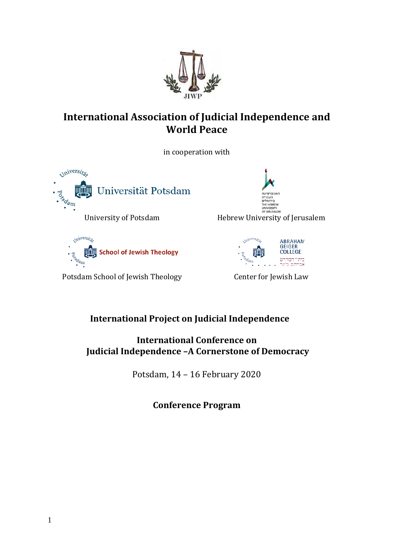

## **International Association of Judicial Independence and World Peace**

in cooperation with





Potsdam School of Jewish Theology Center for Jewish Law





## **International Project on Judicial Independence**

**International Conference on Judicial Independence –A Cornerstone of Democracy**

Potsdam, 14 – 16 February 2020

**Conference Program**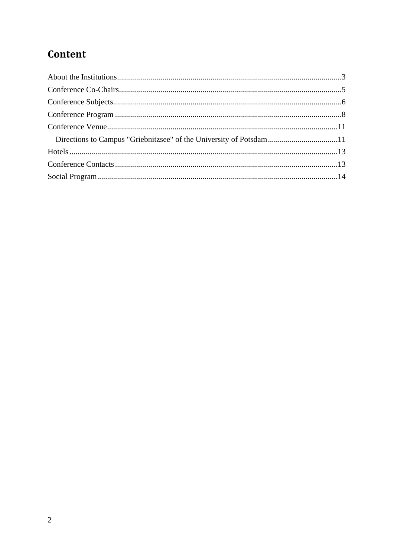# Content

| Directions to Campus "Griebnitzsee" of the University of Potsdam11 |  |
|--------------------------------------------------------------------|--|
|                                                                    |  |
|                                                                    |  |
|                                                                    |  |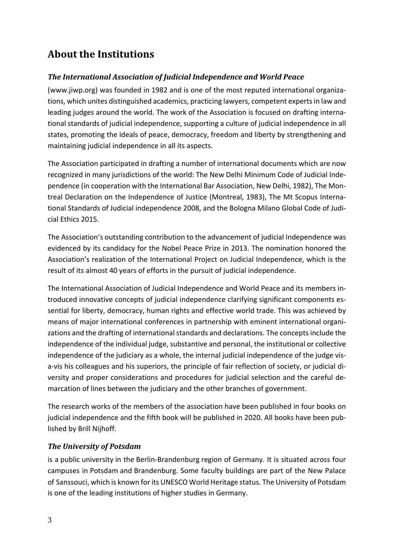# <span id="page-2-0"></span>**About the Institutions**

### *The International Association of Judicial Independence and World Peace*

(www.jiwp.org) was founded in 1982 and is one of the most reputed international organizations, which unites distinguished academics, practicing lawyers, competent expertsin law and leading judges around the world. The work of the Association is focused on drafting international standards of judicial independence, supporting a culture of judicial independence in all states, promoting the ideals of peace, democracy, freedom and liberty by strengthening and maintaining judicial independence in all its aspects.

The Association participated in drafting a number of international documents which are now recognized in many jurisdictions of the world: The New Delhi Minimum Code of Judicial Independence (in cooperation with the International Bar Association, New Delhi, 1982), The Montreal Declaration on the Independence of Justice (Montreal, 1983), The Mt Scopus International Standards of Judicial independence 2008, and the Bologna Milano Global Code of Judicial Ethics 2015.

The Association's outstanding contribution to the advancement of judicial Independence was evidenced by its candidacy for the Nobel Peace Prize in 2013. The nomination honored the Association's realization of the International Project on Judicial Independence, which is the result of its almost 40 years of efforts in the pursuit of judicial independence.

The International Association of Judicial Independence and World Peace and its members introduced innovative concepts of judicial independence clarifying significant components essential for liberty, democracy, human rights and effective world trade. This was achieved by means of major international conferences in partnership with eminent international organizations and the drafting of international standards and declarations. The concepts include the independence of the individual judge, substantive and personal, the institutional or collective independence of the judiciary as a whole, the internal judicial independence of the judge visa-vis his colleagues and his superiors, the principle of fair reflection of society, or judicial diversity and proper considerations and procedures for judicial selection and the careful demarcation of lines between the judiciary and the other branches of government.

The research works of the members of the association have been published in four books on judicial independence and the fifth book will be published in 2020. All books have been published by Brill Nijhoff.

### *The University of Potsdam*

is a [public](https://en.wikipedia.org/wiki/Public_university) [university](https://en.wikipedia.org/wiki/University) in the [Berlin-Brandenburg](https://en.wikipedia.org/wiki/Berlin-Brandenburg) region of Germany. It is situated across four campuses in [Potsdam](https://en.wikipedia.org/wiki/Potsdam) and [Brandenburg.](https://en.wikipedia.org/wiki/Brandenburg) Some faculty buildings are part of the New Palace of [Sanssouci,](https://en.wikipedia.org/wiki/Sanssouci) which is known for its UNESCO World Heritage status. The University of Potsdam is one of the leading institutions of higher studies in Germany.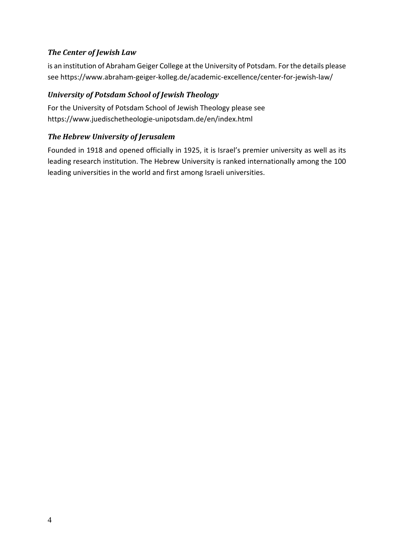### *The Center of Jewish Law*

is an institution of Abraham Geiger College at the University of Potsdam. For the details please see <https://www.abraham-geiger-kolleg.de/academic-excellence/center-for-jewish-law/>

### *University of Potsdam School of Jewish Theology*

For the University of Potsdam School of Jewish Theology please see <https://www.juedischetheologie-unipotsdam.de/en/index.html>

### *The Hebrew University of Jerusalem*

Founded in 1918 and opened officially in 1925, it is Israel's premier university as well as its leading research institution. The Hebrew University is ranked internationally among the 100 leading universities in the world and first among Israeli universities.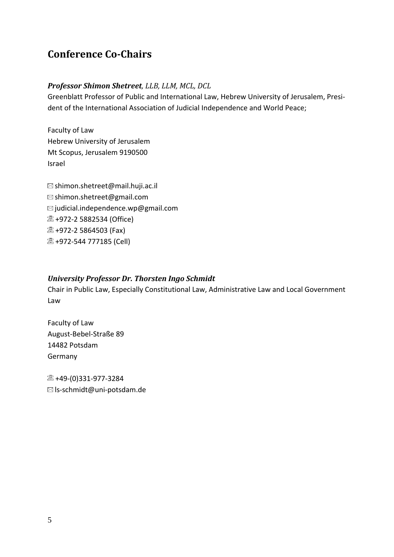## <span id="page-4-0"></span>**Conference Co-Chairs**

### *Professor Shimon Shetreet, LLB, LLM, MCL, DCL*

Greenblatt Professor of Public and International Law, Hebrew University of Jerusalem, President of the International Association of Judicial Independence and World Peace;

Faculty of Law Hebrew University of Jerusalem Mt Scopus, Jerusalem 9190500 Israel

 $\boxtimes$  [shimon.shetreet@mail.huji.ac.il](mailto:shimon.shetreet@mail.huji.ac.il) [shimon.shetreet@gmail.com](mailto:shimon.shetreet@gmail.com)  $\boxtimes$  judicial.independence.wp@gmail.com +972-2 5882534 (Office) <sup>2</sup> +972-2 5864503 (Fax) **2 +972-544 777185 (Cell)** 

### *University Professor Dr. Thorsten Ingo Schmidt*

Chair in Public Law, Especially Constitutional Law, Administrative Law and Local Government Law

Faculty of Law August-Bebel-Straße 89 14482 Potsdam Germany

 $\textcircled{2}$  +49-(0)331-977-3284 ls-schmidt@uni-potsdam.de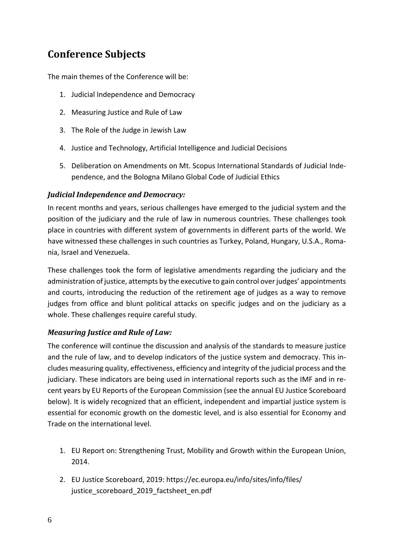# <span id="page-5-0"></span>**Conference Subjects**

The main themes of the Conference will be:

- 1. Judicial Independence and Democracy
- 2. Measuring Justice and Rule of Law
- 3. The Role of the Judge in Jewish Law
- 4. Justice and Technology, Artificial Intelligence and Judicial Decisions
- 5. Deliberation on Amendments on Mt. Scopus International Standards of Judicial Independence, and the Bologna Milano Global Code of Judicial Ethics

### *Judicial Independence and Democracy:*

In recent months and years, serious challenges have emerged to the judicial system and the position of the judiciary and the rule of law in numerous countries. These challenges took place in countries with different system of governments in different parts of the world. We have witnessed these challenges in such countries as Turkey, Poland, Hungary, U.S.A., Romania, Israel and Venezuela.

These challenges took the form of legislative amendments regarding the judiciary and the administration of justice, attempts by the executive to gain control over judges' appointments and courts, introducing the reduction of the retirement age of judges as a way to remove judges from office and blunt political attacks on specific judges and on the judiciary as a whole. These challenges require careful study.

### *Measuring Justice and Rule of Law:*

The conference will continue the discussion and analysis of the standards to measure justice and the rule of law, and to develop indicators of the justice system and democracy. This includes measuring quality, effectiveness, efficiency and integrity of the judicial process and the judiciary. These indicators are being used in international reports such as the IMF and in recent years by EU Reports of the European Commission (see the annual EU Justice Scoreboard below). It is widely recognized that an efficient, independent and impartial justice system is essential for economic growth on the domestic level, and is also essential for Economy and Trade on the international level.

- 1. EU Report on: Strengthening Trust, Mobility and Growth within the European Union, 2014.
- 2. EU Justice Scoreboard, 2019: [https://ec.europa.eu/info/sites/info/files/](https://ec.europa.eu/info/sites/info/files/justice_scoreboard_2019_factsheet_en.pdf) [justice\\_scoreboard\\_2019\\_factsheet\\_en.pdf](https://ec.europa.eu/info/sites/info/files/justice_scoreboard_2019_factsheet_en.pdf)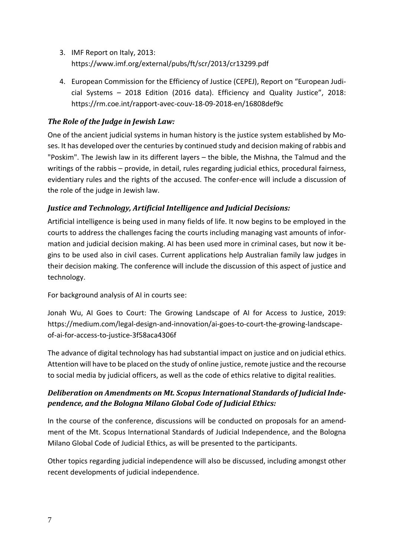- 3. IMF Report on Italy, 2013: <https://www.imf.org/external/pubs/ft/scr/2013/cr13299.pdf>
- 4. European Commission for the Efficiency of Justice (CEPEJ), Report on "European Judicial Systems – 2018 Edition (2016 data). Efficiency and Quality Justice", 2018: <https://rm.coe.int/rapport-avec-couv-18-09-2018-en/16808def9c>

### *The Role of the Judge in Jewish Law:*

One of the ancient judicial systems in human history is the justice system established by Moses. It has developed over the centuries by continued study and decision making of rabbis and "Poskim". The Jewish law in its different layers – the bible, the Mishna, the Talmud and the writings of the rabbis – provide, in detail, rules regarding judicial ethics, procedural fairness, evidentiary rules and the rights of the accused. The confer-ence will include a discussion of the role of the judge in Jewish law.

### *Justice and Technology, Artificial Intelligence and Judicial Decisions:*

Artificial intelligence is being used in many fields of life. It now begins to be employed in the courts to address the challenges facing the courts including managing vast amounts of information and judicial decision making. AI has been used more in criminal cases, but now it begins to be used also in civil cases. Current applications help Australian family law judges in their decision making. The conference will include the discussion of this aspect of justice and technology.

For background analysis of AI in courts see:

Jonah Wu, AI Goes to Court: The Growing Landscape of AI for Access to Justice, 2019: [https://medium.com/legal-design-and-innovation/ai-goes-to-court-the-growing-landscape](https://medium.com/legal-design-and-innovation/ai-goes-to-court-the-growing-landscape-of-ai-for-access-to-justice-3f58aca4306f)[of-ai-for-access-to-justice-3f58aca4306f](https://medium.com/legal-design-and-innovation/ai-goes-to-court-the-growing-landscape-of-ai-for-access-to-justice-3f58aca4306f)

The advance of digital technology has had substantial impact on justice and on judicial ethics. Attention will have to be placed on the study of online justice, remote justice and the recourse to social media by judicial officers, as well as the code of ethics relative to digital realities.

### *Deliberation on Amendments on Mt. Scopus International Standards of Judicial Independence, and the Bologna Milano Global Code of Judicial Ethics:*

In the course of the conference, discussions will be conducted on proposals for an amendment of the Mt. Scopus International Standards of Judicial Independence, and the Bologna Milano Global Code of Judicial Ethics, as will be presented to the participants.

Other topics regarding judicial independence will also be discussed, including amongst other recent developments of judicial independence.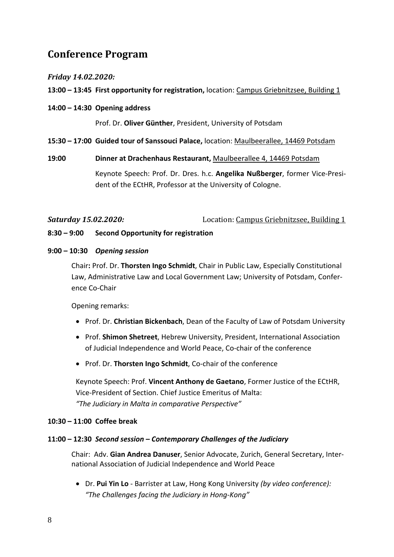## <span id="page-7-0"></span>**Conference Program**

### *Friday 14.02.2020:*

### **13:00 – 13:45 First opportunity for registration,** location: Campus Griebnitzsee, Building 1

**14:00 – 14:30 Opening address**

Prof. Dr. **Oliver Günther**, President, University of Potsdam

**15:30 – 17:00 Guided tour of Sanssouci Palace,** location: Maulbeerallee, 14469 Potsdam

### **19:00 Dinner at Drachenhaus Restaurant,** Maulbeerallee 4, 14469 Potsdam

Keynote Speech: Prof. Dr. Dres. h.c. **Angelika Nußberger**, former Vice-President of the ECtHR, Professor at the University of Cologne.

*Saturday 15.02.2020:* Location: Campus Griebnitzsee, Building 1

#### **8:30 – 9:00 Second Opportunity for registration**

#### **9:00 – 10:30** *Opening session*

Chair**:** Prof. Dr. **Thorsten Ingo Schmidt**, Chair in Public Law, Especially Constitutional Law, Administrative Law and Local Government Law; University of Potsdam, Conference Co-Chair

Opening remarks:

- Prof. Dr. **Christian Bickenbach**, Dean of the Faculty of Law of Potsdam University
- Prof. **Shimon Shetreet**, Hebrew University, President, International Association of Judicial Independence and World Peace, Co-chair of the conference
- Prof. Dr. **Thorsten Ingo Schmidt**, Co-chair of the conference

Keynote Speech: Prof. **Vincent Anthony de Gaetano**, Former Justice of the ECtHR, Vice-President of Section. Chief Justice Emeritus of Malta: *"The Judiciary in Malta in comparative Perspective"*

#### **10:30 – 11:00 Coffee break**

### **11:00 – 12:30** *Second session – Contemporary Challenges of the Judiciary*

Chair: Adv. **Gian Andrea Danuser**, Senior Advocate, Zurich, General Secretary, International Association of Judicial Independence and World Peace

• Dr. **Pui Yin Lo** - Barrister at Law, Hong Kong University *(by video conference): "The Challenges facing the Judiciary in Hong-Kong"*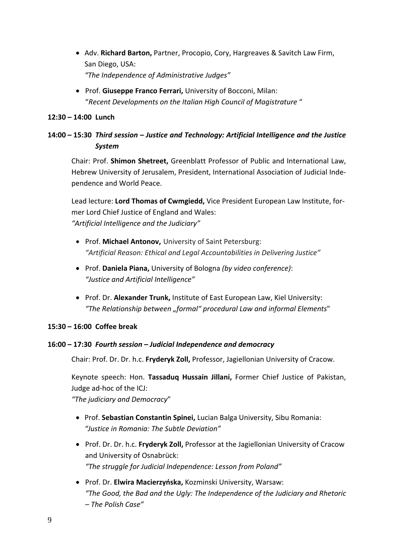- Adv. **Richard Barton,** Partner, Procopio, Cory, Hargreaves & Savitch Law Firm, San Diego, USA: *"The Independence of Administrative Judges"*
- Prof. **Giuseppe Franco Ferrari,** University of Bocconi, Milan: "*Recent Developments on the Italian High Council of Magistrature* "

### **12:30 – 14:00 Lunch**

### **14:00 – 15:30** *Third session – Justice and Technology: Artificial Intelligence and the Justice System*

Chair: Prof. **Shimon Shetreet,** Greenblatt Professor of Public and International Law, Hebrew University of Jerusalem, President, International Association of Judicial Independence and World Peace.

Lead lecture: **Lord Thomas of Cwmgiedd,** Vice President European Law Institute, former Lord Chief Justice of England and Wales: *"Artificial Intelligence and the Judiciary"*

- Prof. **Michael Antonov,** University of Saint Petersburg: *"Artificial Reason: Ethical and Legal Accountabilities in Delivering Justice"*
- Prof. **Daniela Piana,** [University](https://www.researchgate.net/institution/University_of_Bologna) of Bologna *(by video conference)*: *"Justice and Artificial Intelligence"*
- Prof. Dr. **Alexander Trunk,** Institute of East European Law, Kiel University: *"The Relationship between "formal" procedural Law and informal Elements*"

### **15:30 – 16:00 Coffee break**

### **16:00 – 17:30** *Fourth session – Judicial Independence and democracy*

Chair: Prof. Dr. Dr. h.c. **Fryderyk Zoll,** Professor, Jagiellonian University of Cracow.

Keynote speech: Hon. **Tassaduq Hussain Jillani,** Former Chief Justice of Pakistan, Judge ad-hoc of the ICJ:

*"The judiciary and Democracy*"

- Prof. **Sebastian Constantin Spinei,** Lucian Balga University, Sibu Romania: *"Justice in Romania: The Subtle Deviation"*
- Prof. Dr. Dr. h.c. **Fryderyk Zoll,** Professor at the Jagiellonian University of Cracow and University of Osnabrück: *"The struggle for Judicial Independence: Lesson from Poland"*
- Prof. Dr. **Elwira Macierzyńska,** Kozminski University, Warsaw: *"The Good, the Bad and the Ugly: The Independence of the Judiciary and Rhetoric – The Polish Case"*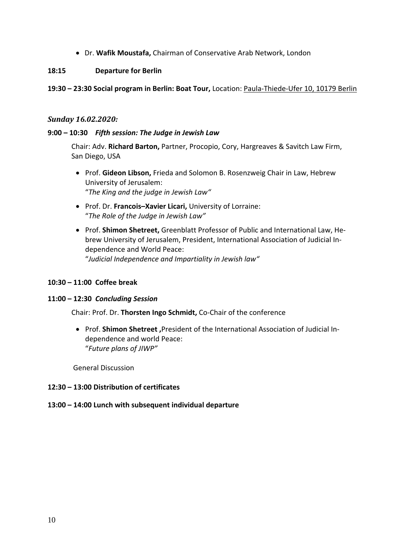• Dr. **Wafik Moustafa,** Chairman of Conservative Arab Network, London

#### **18:15 Departure for Berlin**

#### **19:30 – 23:30 Social program in Berlin: Boat Tour,** Location: Paula-Thiede-Ufer 10, 10179 Berlin

#### *Sunday 16.02.2020:*

#### **9:00 – 10:30** *Fifth session: The Judge in Jewish Law*

Chair: Adv. **Richard Barton,** Partner, Procopio, Cory, Hargreaves & Savitch Law Firm, San Diego, USA

- Prof. **Gideon Libson,** Frieda and Solomon B. Rosenzweig Chair in Law, Hebrew University of Jerusalem: "*The King and the judge in Jewish Law"*
- Prof. Dr. **Francois–Xavier Licari,** University of Lorraine: "*The Role of the Judge in Jewish Law"*
- Prof. **Shimon Shetreet,** Greenblatt Professor of Public and International Law, Hebrew University of Jerusalem, President, International Association of Judicial Independence and World Peace: "*Judicial Independence and Impartiality in Jewish law"*

#### **10:30 – 11:00 Coffee break**

#### **11:00 – 12:30** *Concluding Session*

Chair: Prof. Dr. **Thorsten Ingo Schmidt,** Co-Chair of the conference

• Prof. **Shimon Shetreet ,**President of the International Association of Judicial Independence and world Peace: "*Future plans of JIWP"*

General Discussion

#### **12:30 – 13:00 Distribution of certificates**

#### **13:00 – 14:00 Lunch with subsequent individual departure**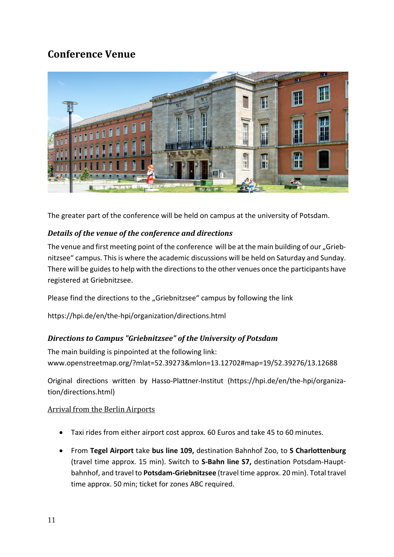## <span id="page-10-0"></span>**Conference Venue**



The greater part of the conference will be held on campus at the university of Potsdam.

### *Details of the venue of the conference and directions*

The venue and first meeting point of the conference will be at the main building of our "Griebnitzsee" campus. Thisis where the academic discussions will be held on Saturday and Sunday. There will be guides to help with the directions to the other venues once the participants have registered at Griebnitzsee.

Please find the directions to the "Griebnitzsee" campus by following the link

<https://hpi.de/en/the-hpi/organization/directions.html>

### <span id="page-10-1"></span>*Directions to Campus "Griebnitzsee" of the University of Potsdam*

The main building is pinpointed at the following link: [www.openstreetmap.org/?mlat=52.39273&mlon=13.12702#map=19/52.39276/13.12688](https://www.openstreetmap.org/?mlat=52.39273&mlon=13.12702#map=19/52.39276/13.12688)

Original directions written by Hasso-Plattner-Institut [\(https://hpi.de/en/the-hpi/organiza](https://hpi.de/en/the-hpi/organization/directions.html))[tion/directions.html\)](https://hpi.de/en/the-hpi/organization/directions.html))

### Arrival from the Berlin Airports

- Taxi rides from either airport cost approx. 60 Euros and take 45 to 60 minutes.
- From **Tegel Airport** take **bus line 109,** destination Bahnhof Zoo, to **S Charlottenburg** (travel time approx. 15 min). Switch to **S-Bahn line S7,** destination Potsdam-Hauptbahnhof, and travel to **Potsdam-Griebnitzsee** (travel time approx. 20 min). Total travel time approx. 50 min; ticket for zones ABC required.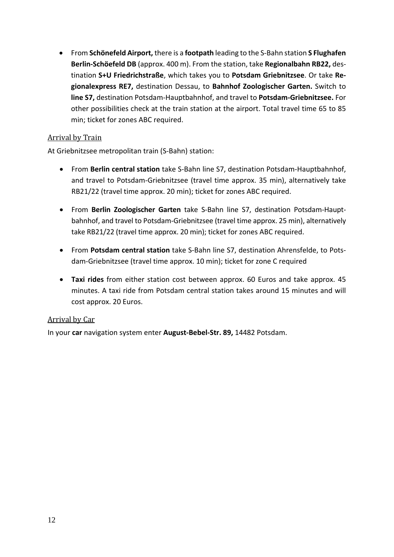• From **Schönefeld Airport,** there is a **footpath** leading to the S-Bahn station **S Flughafen Berlin-Schöefeld DB** (approx. 400 m). From the station, take **Regionalbahn RB22,** destination **S+U Friedrichstraße**, which takes you to **Potsdam Griebnitzsee**. Or take **Regionalexpress RE7,** destination Dessau, to **Bahnhof Zoologischer Garten.** Switch to **line S7,** destination Potsdam-Hauptbahnhof, and travel to **Potsdam-Griebnitzsee.** For other possibilities check at the train station at the airport. Total travel time 65 to 85 min; ticket for zones ABC required.

### Arrival by Train

At Griebnitzsee metropolitan train (S-Bahn) station:

- From **Berlin central station** take S-Bahn line S7, destination Potsdam-Hauptbahnhof, and travel to Potsdam-Griebnitzsee (travel time approx. 35 min), alternatively take RB21/22 (travel time approx. 20 min); ticket for zones ABC required.
- From **Berlin Zoologischer Garten** take S-Bahn line S7, destination Potsdam-Hauptbahnhof, and travel to Potsdam-Griebnitzsee (travel time approx. 25 min), alternatively take RB21/22 (travel time approx. 20 min); ticket for zones ABC required.
- From **Potsdam central station** take S-Bahn line S7, destination Ahrensfelde, to Potsdam-Griebnitzsee (travel time approx. 10 min); ticket for zone C required
- **Taxi rides** from either station cost between approx. 60 Euros and take approx. 45 minutes. A taxi ride from Potsdam central station takes around 15 minutes and will cost approx. 20 Euros.

### Arrival by Car

<span id="page-11-0"></span>In your **car** navigation system enter **August-Bebel-Str. 89,** 14482 Potsdam.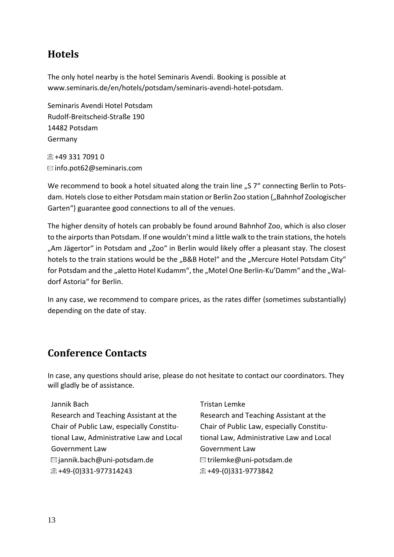## **Hotels**

The only hotel nearby is the hotel Seminaris Avendi. Booking is possible at [www.seminaris.de/en/hotels/potsdam/seminaris-avendi-hotel-potsdam.](http://www.seminaris.de/en/hotels/potsdam/seminaris-avendi-hotel-potsdam)

Seminaris Avendi Hotel Potsdam Rudolf-Breitscheid-Straße 190 14482 Potsdam Germany

 $\overline{\mathbb{Z}}$  +49 331 7091 0  $\boxtimes$  [info.pot62@seminaris.com](mailto:info.pot62@seminaris.com)

We recommend to book a hotel situated along the train line "S 7" connecting Berlin to Potsdam. Hotels close to either Potsdam main station or Berlin Zoo station ("Bahnhof Zoologischer Garten") guarantee good connections to all of the venues.

The higher density of hotels can probably be found around Bahnhof Zoo, which is also closer to the airports than Potsdam. If one wouldn't mind a little walk to the train stations, the hotels "Am Jägertor" in Potsdam and "Zoo" in Berlin would likely offer a pleasant stay. The closest hotels to the train stations would be the "B&B Hotel" and the "Mercure Hotel Potsdam City" for Potsdam and the "aletto Hotel Kudamm", the "Motel One Berlin-Ku'Damm" and the "Waldorf Astoria" for Berlin.

In any case, we recommend to compare prices, as the rates differ (sometimes substantially) depending on the date of stay.

## <span id="page-12-0"></span>**Conference Contacts**

In case, any questions should arise, please do not hesitate to contact our coordinators. They will gladly be of assistance.

### Jannik Bach

Research and Teaching Assistant at the Chair of Public Law, especially Constitutional Law, Administrative Law and Local Government Law  $\boxtimes$  jannik.bach@uni-potsdam.de  $\textcircled{2}$ +49-(0)331-977314243

Tristan Lemke

Research and Teaching Assistant at the Chair of Public Law, especially Constitutional Law, Administrative Law and Local Government Law  $\boxtimes$ trilemke@uni-potsdam.de 2 +49-(0)331-9773842